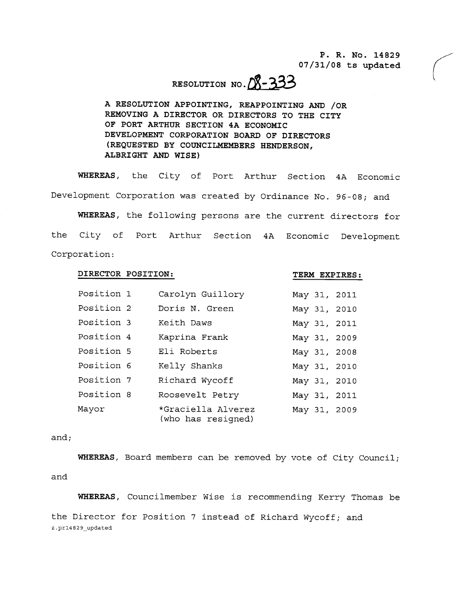P. R. No. 14829  $07/31/08$  ts updated

# RESOLUTION NO. 08-333

A RESOLUTION APPOINTING, REAPPOINTING AND /OR REMOVING A DIRECTOR OR DIRECTORS TO THE CITY OF PORT ARTHUR SECTION 4A ECONOMIC DEVELOPMENT CORPORATION BOARD OF DIRECTORS REQUESTED BY COUNCILMEMBERS HENDERSON ALBRIGHT AND WISE

WHEREAS, the City of Port Arthur Section 4A Economic Development Corporation was created by Ordinance No. 96-08; and

WHEREAS, the following persons are the current directors for the City of Port Arthur Section 4A Economic Development Corporation

## DIRECTOR POSITION

#### TERM EXPIRES

| Position 1 | Carolyn Guillory                         |  | May 31, 2011 |
|------------|------------------------------------------|--|--------------|
| Position 2 | Doris N. Green                           |  | May 31, 2010 |
| Position 3 | Keith Daws                               |  | May 31, 2011 |
| Position 4 | Kaprina Frank                            |  | May 31, 2009 |
| Position 5 | Eli Roberts                              |  | May 31, 2008 |
| Position 6 | Kelly Shanks                             |  | May 31, 2010 |
| Position 7 | Richard Wycoff                           |  | May 31, 2010 |
| Position 8 | Roosevelt Petry                          |  | May 31, 2011 |
| Mayor      | *Graciella Alverez<br>(who has resigned) |  | May 31, 2009 |

### and;

WHEREAS, Board members can be removed by vote of City Council; and

WHEREAS, Councilmember Wise is recommending Kerry Thomas be the Director for Position 7 instead of Richard Wycoff; and and<br>WHEREA:<br>the Directo:<br>z.pr14829\_updated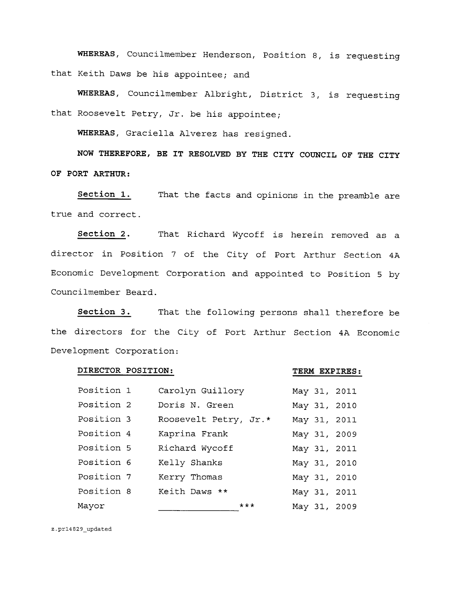WHEREAS, Councilmember Henderson, Position 8, is requesting that Keith Daws be his appointee; and

WHEREAS, Councilmember Albright, District 3, is requesting that Roosevelt Petry, Jr. be his appointee;

WHEREAS, Graciella Alverez has resigned.

NOW THEREFORE, BE IT RESOLVED BY THE CITY COUNCIL OF THE CITY OF PORT ARTHUR

Section 1. That the facts and opinions in the preamble are true and correct

Section 2 That Richard Wycoff is herein removed as a director in Position <sup>7</sup> of the City of Port Arthur Section 4A Economic Development Corporation and appointed to Position <sup>5</sup> by Councilmember Beard

Section 3. That the following persons shall therefore be the directors for the City of Port Arthur Section 4A Economic Development Corporation

## DIRECTOR POSITION

TERM EXPIRES

| Position 1 | Carolyn Guillory      |     |  | May 31, 2011 |
|------------|-----------------------|-----|--|--------------|
| Position 2 | Doris N. Green        |     |  | May 31, 2010 |
| Position 3 | Roosevelt Petry, Jr.* |     |  | May 31, 2011 |
| Position 4 | Kaprina Frank         |     |  | May 31, 2009 |
| Position 5 | Richard Wycoff        |     |  | May 31, 2011 |
| Position 6 | Kelly Shanks          |     |  | May 31, 2010 |
| Position 7 | Kerry Thomas          |     |  | May 31, 2010 |
| Position 8 | Keith Daws **         |     |  | May 31, 2011 |
| Mayor      |                       | *** |  | May 31, 2009 |

z.pr14829\_updated